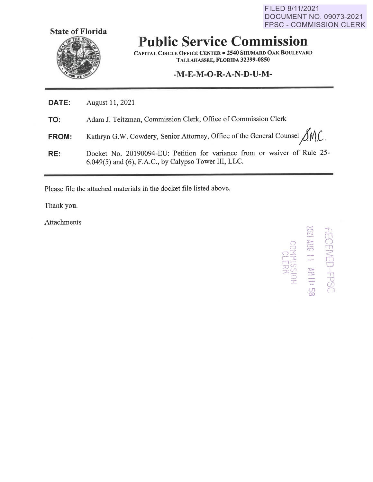FILED 8/11/2021 DOCUMENT NO. 09073-2021 FPSC - COMMISSION CLERK



# **Public Service Commission**

**CAPITAL CIRCLE OFFICE CENTER** • **2540 SHUMARD OAK BOULEVARD TALLAHASSEE, FLORIDA 32399-0850** 

### **-M-E-M-0-R-A-N-D-U-M-**

| DATE: | August 11, 2021 |
|-------|-----------------|
|-------|-----------------|

**TO:**  Adam J. Teitzman, Commission Clerk, Office of Commission Clerk

**FROM:**  Kathryn G.W. Cowdery, Senior Attorney, Office of the General Counsel  $\bigcirc {\cal N}$ .C.

**RE:**  Docket No. 20190094-EU: Petition for variance from or waiver of Rule 25- 6.049(5) and (6), F.A.C., by Calypso Tower III, LLC.

Please file the attached materials in the docket file listed above.

Thank you.

Attachments

**RHITO**<br>SSIKH00  $\Xi$ ........ <sup>~</sup> r.c.? **r-.. "J**  ,. .... ,,. *r-* ~ - **:c,.**  =~ -.. ,\_..,  $\frac{1}{2}$ r"'~ ' I I *r'* '- .I **r, ... t** 

 $\frac{\widetilde{m}}{\widetilde{m}}$ 

0 I  $\frac{1}{11}$  $\frac{1}{2}$ 

·co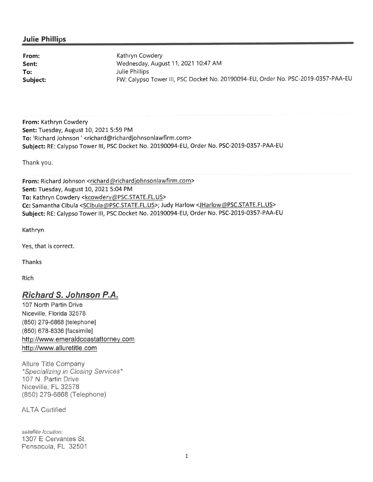#### **Julie Phillips**

**Sent: To:** 

**From: Kathryn Cowdery** Wednesday, August 11, 2021 10:47 AM Julie Phillips **Subject:** FW: Calypso Tower Ill, PSC Docket No. 20190094-EU, Order No. PSC-2019-0357-PAA-EU

**From:** Kathryn Cowdery **Sent:** Tuesday, August 10, 2021 5:59 PM **To:** 'Richard Johnson '<richard@richardjohnsonlawfirm.com> **Subject:** RE: Calypso Tower Ill, PSC Docket No. 20190094-EU, Order No. PSC-2019-0357-PAA-EU

Thank you.

**From:** Richard Johnson <richard@richardjohnsonlawfirm.com> **Sent:** Tuesday, August 10, 2021 5:04 PM To: Kathryn Cowdery <kcowdery@PSC.STATE.FL.US> **Cc:** Samantha Cibula <SCibula@PSC.STATE.FL.US>; Judy Harlow <JHarlow@PSC.STATE.FL.US> **Subject:** RE: Calypso Tower 111, PSC Docket No. 20190094-EU, Order No. PSC-2019-0357-PAA-EU

Kathryn

Yes, that is correct.

Thanks

Rich

#### **Richard S. Johnson P.A.**

107 North Partin Drive Niceville, Florida 32578 (850) 279-6868 [telephone) (850) 678-8336 [facsimile) http://www.emeraldcoastattorney.com http://www.alluretitle.com

Allure Title Company \*Specializing in Closing Services\* 107 N. Partin Drive Niceville, FL 32578 (850) 279-6868 (Telephone)

**ALTA Certified** 

satellite location: 1307 E Cervantes St. Pensacola, FL 32501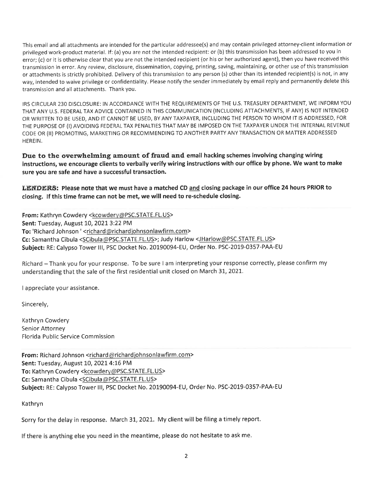This email and all attachments are intended for the particular addressee(s) and may contain privileged attorney-client information or privileged work-product material. If: (a) you are not the intended recipient: or (b) this transmission has been addressed to you in error; (c) or it is otherwise clear that you are not the intended recipient (or his or her authorized agent), then you have received this transmission in error. Any review, disclosure, dissemination, copying, printing, saving, maintaining, or other use of this transmission or attachments is strictly prohibited. Delivery of this transmission to any person (s) other than its intended recipient(s) is not, in any way, intended to waive privilege or confidentiality. Please notify the sender immediately by email reply and permanently delete this transmission and all attachments. Thank you.

IRS CIRCULAR 230 DISCLOSURE: IN ACCORDANCE WITH THE REQUIREMENTS OF THE U.S. TREASURY DEPARTMENT, WE INFORM YOU THAT ANY U.S. FEDERAL TAX ADVICE CONTAINED IN THIS COMMUNICATION (INCLUDING ATTACHMENTS, IF ANY) IS NOT INTENDED OR WRITTEN TO BE USED, AND IT CANNOT BE USED, BY ANY TAXPAYER, INCLUDING THE PERSON TO WHOM IT IS ADDRESSED, FOR THE PURPOSE OF (I) AVOIDING FEDERAL TAX PENALTIES THAT MAY BE IMPOSED ON THE TAXPAYER UNDER THE INTERNAL REVENUE CODE OR (II) PROMOTING, MARKETING OR RECOMMENDING TO ANOTHER PARTY ANY TRANSACTION OR MATTER ADDRESSED HEREIN.

**Due to the overwhelming amount of fraud and email hacking schemes involving changing wiring instructions, we encourage clients to verbally verify wiring instructions with our office by phone. We want to make sure you are safe and have a successful transaction.** 

**LENDERS: Please note that we must have a matched CD and closing package in our office 24 hours PRIOR to closing. If this time frame can not be met, we will need to re-schedule closing.** 

From: Kathryn Cowdery <kcowdery@PSC.STATE.FL.US> **Sent:** Tuesday, August 10, 2021 3:22 PM **To:** 'Richard Johnson' <richard@richard johnsonlawfirm.com> **Cc:** Samantha Cibula <SCibula@PSC.STATE.FL.US>; Judy Harlow <JHarlow@PSC.STATE.FL.US> **Subject:** RE: Calypso Tower Ill, PSC Docket No. 20190094-EU, Order No. PSC-2019-0357-PAA-EU

Richard - Thank you for your response. To be sure I am interpreting your response correctly, please confirm my understanding that the sale of the first residential unit closed on March 31, 2021.

I appreciate your assistance.

Sincerely,

Kathryn Cowdery Senior Attorney Florida Public Service Commission

**From:** Richard Johnson <richard@richard johnsonlawfirm.com> **Sent:** Tuesday, August 10, 20214:16 PM To: Kathryn Cowdery <kcowdery@PSC.STATE.FL.US> **Cc:** Samantha Cibula <SCibula@PSC.STATE.FL.US> **Subject:** RE: Calypso Tower 111, PSC Docket No. 20190094-EU, Order No. PSC-2019-0357-PAA-EU

Kathryn

Sorry for the delay in response. March 31, 2021. My client will be filing a timely report.

If there is anything else you need in the meantime, please do not hesitate to ask me.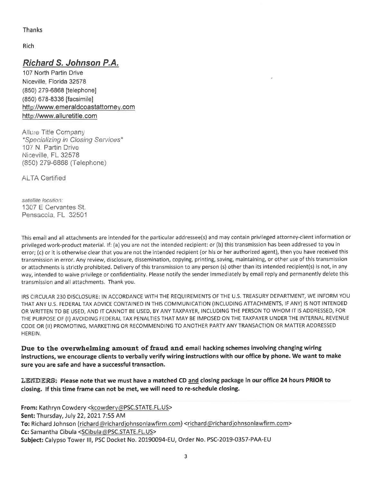Thanks

Rich

## **Richard S. Johnson P.A.**

107 North Partin Drive Niceville, Florida 32578 (850) 279-6868 [telephone] (850) 678-8336 [facsimile] http://www.emeraldcoastattorney.com http: //www.alluretitle.com

Allure Title Company \*Specializing in Closing Services\* 107 N. Partin Drive Niceville, FL 32578 (850) 279-6868 (Telephone)

**ALTA Certified** 

satellite location: 1307 E Cervantes St. Pensacola, FL 32501

This email and all attachments are intended for the particular addressee(s) and may contain privileged attorney-client information or privileged work-product material. If: (a) you are not the intended recipient: or (b) this transmission has been addressed to you in error; (c) or it is otherwise clear that you are not the intended recipient (or his or her authorized agent), then you have received this transmission in error. Any review, disclosure, dissemination, copying, printing, saving, maintaining, or other use of this transmission or attachments is strictly prohibited. Delivery of this transmission to any person (s) other than its intended recipient{s) is not, in any way, intended to waive privilege or confidentiality. Please notify the sender immediately by email reply and permanently delete this transmission and all attachments. Thank you.

IRS CIRCULAR 230 DISCLOSURE: IN ACCORDANCE WITH THE REQUIREMENTS OF THE U.S. TREASURY DEPARTMENT, WE INFORM YOU THAT ANY U.S. FEDERAL TAX ADVICE CONTAINED IN THIS COMMUNICATION (INCLUDING ATTACHMENTS, IF ANY) IS NOT INTENDED OR WRITTEN TO BE USED, AND IT CANNOT BE USED, BY ANY TAXPAYER, INCLUDING THE PERSON TO WHOM IT IS ADDRESSED, FOR THE PURPOSE OF (I) AVOIDING FEDERAL TAX PENALTIES THAT MAY BE IMPOSED ON THE TAXPAYER UNDER THE INTERNAL REVENUE CODE OR (ii) PROMOTING, MARKETING OR RECOMMENDING TO ANOTHER PARTY ANY TRANSACTION OR MATTER ADDRESSED HEREIN .

**Due to the overwhelming amount of fraud and email hacking schemes involving changing wiring instructions, we encourage clients to verbally verify wiring instructions with our office by phone. We want to make sure you are safe and have a successful transaction.** 

**LENDERS: Please note that we must have a matched CD and closing package in our office 24 hours PRIOR to closing. If this time frame can not be met, we will need to re-schedule closing.** 

**From:** Kathryn Cowdery <kcowdery@ PSC.STATE.FL.US> **Sent:** Thursday, July 22, 2021 7:55 AM To: Richard Johnson (richard@richardjohnsonlawfirm.com) <richard@richardjohnsonlawfirm.com> **Cc:** Samantha Cibula <SCibula@PSC.STATE.FL.US> **Subject:** Calypso Tower Ill, PSC Docket No. 20190094-EU, Order No. PSC-2019-0357-PAA-EU